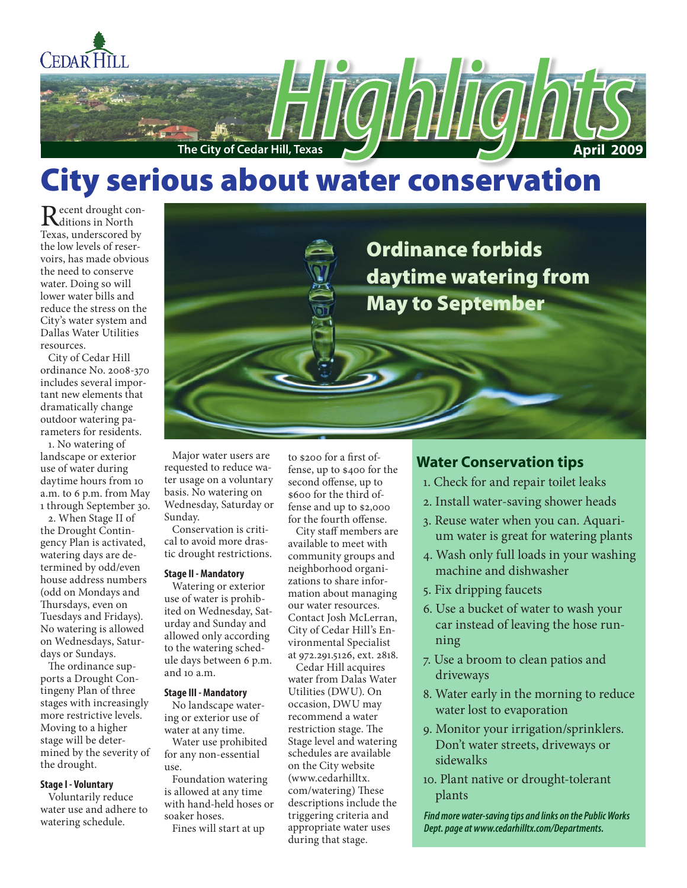

# City serious about water conservation

Recent drought con-<br>Trans on democratic Texas, underscored by the low levels of reservoirs, has made obvious the need to conserve water. Doing so will lower water bills and reduce the stress on the City's water system and Dallas Water Utilities resources.

City of Cedar Hill ordinance No. 2008-370 includes several important new elements that dramatically change outdoor watering parameters for residents.

1. No watering of landscape or exterior use of water during daytime hours from 10 a.m. to 6 p.m. from May 1 through September 30.

2. When Stage II of the Drought Contingency Plan is activated, watering days are determined by odd/even house address numbers (odd on Mondays and Thursdays, even on Tuesdays and Fridays). No watering is allowed on Wednesdays, Saturdays or Sundays.

The ordinance supports a Drought Contingeny Plan of three stages with increasingly more restrictive levels. Moving to a higher stage will be determined by the severity of the drought.

#### **Stage I - Voluntary**

Voluntarily reduce water use and adhere to watering schedule.

Major water users are requested to reduce water usage on a voluntary basis. No watering on Wednesday, Saturday or Sunday.

Conservation is critical to avoid more drastic drought restrictions.

#### **Stage II - Mandatory**

Watering or exterior use of water is prohibited on Wednesday, Saturday and Sunday and allowed only according to the watering schedule days between 6 p.m. and 10 a.m.

#### **Stage III - Mandatory**

No landscape watering or exterior use of water at any time.

Water use prohibited for any non-essential use.

Foundation watering is allowed at any time with hand-held hoses or soaker hoses.

Fines will start at up

to \$200 for a first offense, up to \$400 for the second offense, up to \$600 for the third offense and up to \$2,000 for the fourth offense.

City staff members are available to meet with community groups and neighborhood organizations to share information about managing our water resources. Contact Josh McLerran, City of Cedar Hill's Environmental Specialist at 972.291.5126, ext. 2818.

Cedar Hill acquires water from Dalas Water Utilities (DWU). On occasion, DWU may recommend a water restriction stage. The Stage level and watering schedules are available on the City website (www.cedarhilltx. com/watering) These descriptions include the triggering criteria and appropriate water uses during that stage.

# **Water Conservation tips**

- 1. Check for and repair toilet leaks
- 2. Install water-saving shower heads
- 3. Reuse water when you can. Aquarium water is great for watering plants
- 4. Wash only full loads in your washing machine and dishwasher
- 5. Fix dripping faucets
- 6. Use a bucket of water to wash your car instead of leaving the hose running
- 7. Use a broom to clean patios and driveways
- 8. Water early in the morning to reduce water lost to evaporation
- 9. Monitor your irrigation/sprinklers. Don't water streets, driveways or sidewalks
- 10. Plant native or drought-tolerant plants

*Find more water-saving tips and links on the Public Works Dept. page at www.cedarhilltx.com/Departments.*